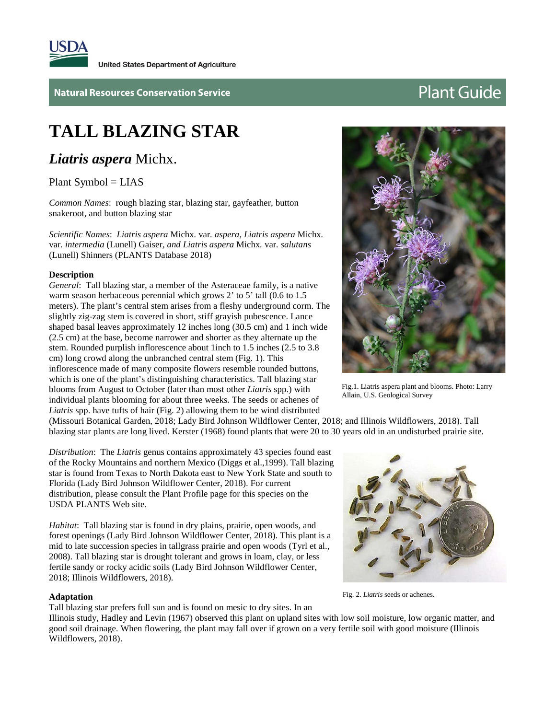

**Natural Resources Conservation Service Access 2008 2009 2012 12:00 Plant Guide** 

# **TALL BLAZING STAR**

*Liatris aspera* Michx.

Plant Symbol = LIAS

*Common Names*: rough blazing star, blazing star, gayfeather, button snakeroot, and button blazing star

*Scientific Names*: *Liatris aspera* Michx*.* var*. aspera, Liatris aspera* Michx*.*  var*. intermedia* (Lunell) Gaiser*, and Liatris aspera* Michx*.* var*. salutans*  (Lunell) Shinners (PLANTS Database 2018)

#### **Description**

*General*: Tall blazing star, a member of the Asteraceae family, is a native warm season herbaceous perennial which grows 2' to 5' tall (0.6 to 1.5) meters). The plant's central stem arises from a fleshy underground corm. The slightly zig-zag stem is covered in short, stiff grayish pubescence. Lance shaped basal leaves approximately 12 inches long (30.5 cm) and 1 inch wide (2.5 cm) at the base, become narrower and shorter as they alternate up the stem. Rounded purplish inflorescence about 1inch to 1.5 inches (2.5 to 3.8 cm) long crowd along the unbranched central stem (Fig. 1). This inflorescence made of many composite flowers resemble rounded buttons, which is one of the plant's distinguishing characteristics. Tall blazing star blooms from August to October (later than most other *Liatris* spp.) with individual plants blooming for about three weeks. The seeds or achenes of *Liatris* spp. have tufts of hair (Fig. 2) allowing them to be wind distributed

(Missouri Botanical Garden, 2018; Lady Bird Johnson Wildflower Center, 2018; and Illinois Wildflowers, 2018). Tall blazing star plants are long lived. Kerster (1968) found plants that were 20 to 30 years old in an undisturbed prairie site.

*Distribution*: The *Liatris* genus contains approximately 43 species found east of the Rocky Mountains and northern Mexico (Diggs et al.,1999). Tall blazing star is found from Texas to North Dakota east to New York State and south to Florida (Lady Bird Johnson Wildflower Center, 2018). For current distribution, please consult the Plant Profile page for this species on the USDA PLANTS Web site.

*Habitat*: Tall blazing star is found in dry plains, prairie, open woods, and forest openings (Lady Bird Johnson Wildflower Center, 2018). This plant is a mid to late succession species in tallgrass prairie and open woods (Tyrl et al., 2008). Tall blazing star is drought tolerant and grows in loam, clay, or less fertile sandy or rocky acidic soils (Lady Bird Johnson Wildflower Center, 2018; Illinois Wildflowers, 2018).

#### **Adaptation**

Tall blazing star prefers full sun and is found on mesic to dry sites. In an

Illinois study, Hadley and Levin (1967) observed this plant on upland sites with low soil moisture, low organic matter, and good soil drainage. When flowering, the plant may fall over if grown on a very fertile soil with good moisture (Illinois Wildflowers, 2018).



Fig. 2. *Liatris* seeds or achenes.



Fig.1. Liatris aspera plant and blooms. Photo: Larry Allain, U.S. Geological Survey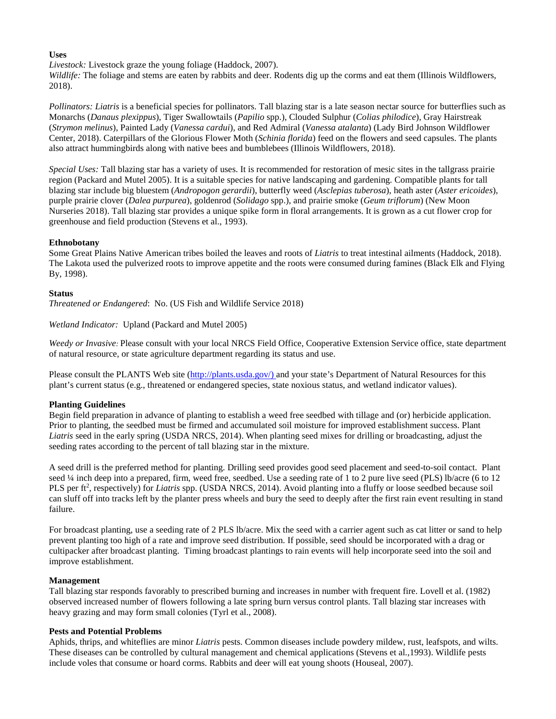# **Uses**

*Livestock:* Livestock graze the young foliage (Haddock, 2007).

*Wildlife:* The foliage and stems are eaten by rabbits and deer. Rodents dig up the corms and eat them (Illinois Wildflowers, 2018).

*Pollinators: Liatris* is a beneficial species for pollinators. Tall blazing star is a late season nectar source for butterflies such as Monarchs (*Danaus plexippus*), Tiger Swallowtails (*Papilio* spp.), Clouded Sulphur (*Colias philodice*), Gray Hairstreak (*Strymon melinus*), Painted Lady (*Vanessa cardui*), and Red Admiral (*Vanessa atalanta*) (Lady Bird Johnson Wildflower Center, 2018). Caterpillars of the Glorious Flower Moth (*Schinia florida*) feed on the flowers and seed capsules. The plants also attract hummingbirds along with native bees and bumblebees (Illinois Wildflowers, 2018).

*Special Uses:* Tall blazing star has a variety of uses. It is recommended for restoration of mesic sites in the tallgrass prairie region (Packard and Mutel 2005). It is a suitable species for native landscaping and gardening. Compatible plants for tall blazing star include big bluestem (*Andropogon gerardii*), butterfly weed (*Asclepias tuberosa*), heath aster (*Aster ericoides*), purple prairie clover (*Dalea purpurea*), goldenrod (*Solidago* spp.), and prairie smoke (*Geum triflorum*) (New Moon Nurseries 2018). Tall blazing star provides a unique spike form in floral arrangements. It is grown as a cut flower crop for greenhouse and field production (Stevens et al., 1993).

# **Ethnobotany**

Some Great Plains Native American tribes boiled the leaves and roots of *Liatris* to treat intestinal ailments (Haddock, 2018). The Lakota used the pulverized roots to improve appetite and the roots were consumed during famines (Black Elk and Flying By, 1998).

# **Status**

*Threatened or Endangered*: No. (US Fish and Wildlife Service 2018)

# *Wetland Indicator:* Upland (Packard and Mutel 2005)

*Weedy or Invasive:* Please consult with your local NRCS Field Office, Cooperative Extension Service office, state department of natural resource, or state agriculture department regarding its status and use.

Please consult the PLANTS Web site [\(http://plants.usda.gov/\)](http://plants.usda.gov/) and your state's Department of Natural Resources for this plant's current status (e.g., threatened or endangered species, state noxious status, and wetland indicator values).

# **Planting Guidelines**

Begin field preparation in advance of planting to establish a weed free seedbed with tillage and (or) herbicide application. Prior to planting, the seedbed must be firmed and accumulated soil moisture for improved establishment success. Plant *Liatris* seed in the early spring (USDA NRCS, 2014). When planting seed mixes for drilling or broadcasting, adjust the seeding rates according to the percent of tall blazing star in the mixture.

A seed drill is the preferred method for planting. Drilling seed provides good seed placement and seed-to-soil contact. Plant seed ¼ inch deep into a prepared, firm, weed free, seedbed. Use a seeding rate of 1 to 2 pure live seed (PLS) lb/acre (6 to 12 PLS per ft<sup>2</sup>, respectively) for *Liatris* spp. (USDA NRCS, 2014). Avoid planting into a fluffy or loose seedbed because soil can sluff off into tracks left by the planter press wheels and bury the seed to deeply after the first rain event resulting in stand failure.

For broadcast planting, use a seeding rate of 2 PLS lb/acre. Mix the seed with a carrier agent such as cat litter or sand to help prevent planting too high of a rate and improve seed distribution. If possible, seed should be incorporated with a drag or cultipacker after broadcast planting. Timing broadcast plantings to rain events will help incorporate seed into the soil and improve establishment.

#### **Management**

Tall blazing star responds favorably to prescribed burning and increases in number with frequent fire. Lovell et al. (1982) observed increased number of flowers following a late spring burn versus control plants. Tall blazing star increases with heavy grazing and may form small colonies (Tyrl et al., 2008).

# **Pests and Potential Problems**

Aphids, thrips, and whiteflies are minor *Liatris* pests. Common diseases include powdery mildew, rust, leafspots, and wilts. These diseases can be controlled by cultural management and chemical applications (Stevens et al.,1993). Wildlife pests include voles that consume or hoard corms. Rabbits and deer will eat young shoots (Houseal, 2007).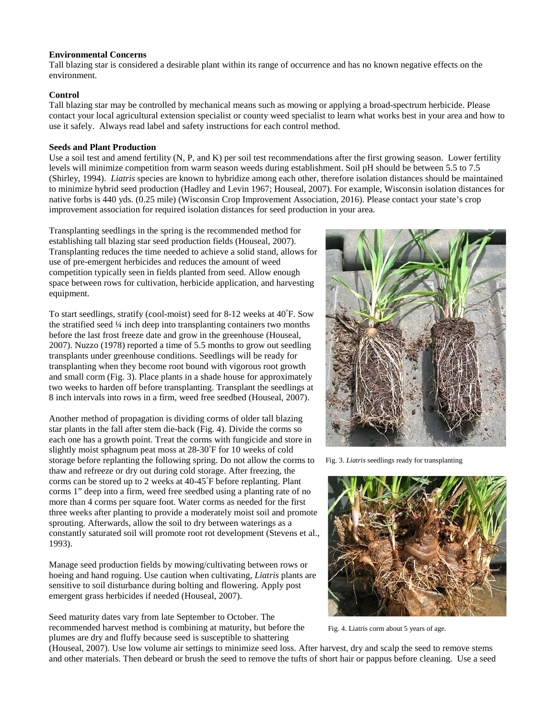### **Environmental Concerns**

Tall blazing star is considered a desirable plant within its range of occurrence and has no known negative effects on the environment.

# **Control**

Tall blazing star may be controlled by mechanical means such as mowing or applying a broad-spectrum herbicide. Please contact your local agricultural extension specialist or county weed specialist to learn what works best in your area and how to use it safely. Always read label and safety instructions for each control method.

# **Seeds and Plant Production**

Use a soil test and amend fertility (N, P, and K) per soil test recommendations after the first growing season. Lower fertility levels will minimize competition from warm season weeds during establishment. Soil pH should be between 5.5 to 7.5 (Shirley, 1994). *Liatris* species are known to hybridize among each other, therefore isolation distances should be maintained to minimize hybrid seed production (Hadley and Levin 1967; Houseal, 2007). For example, Wisconsin isolation distances for native forbs is 440 yds. (0.25 mile) (Wisconsin Crop Improvement Association, 2016). Please contact your state's crop improvement association for required isolation distances for seed production in your area.

Transplanting seedlings in the spring is the recommended method for establishing tall blazing star seed production fields (Houseal, 2007). Transplanting reduces the time needed to achieve a solid stand, allows for use of pre-emergent herbicides and reduces the amount of weed competition typically seen in fields planted from seed. Allow enough space between rows for cultivation, herbicide application, and harvesting equipment.

To start seedlings, stratify (cool-moist) seed for 8-12 weeks at 40° F. Sow the stratified seed ¼ inch deep into transplanting containers two months before the last frost freeze date and grow in the greenhouse (Houseal, 2007). Nuzzo (1978) reported a time of 5.5 months to grow out seedling transplants under greenhouse conditions. Seedlings will be ready for transplanting when they become root bound with vigorous root growth and small corm (Fig. 3). Place plants in a shade house for approximately two weeks to harden off before transplanting. Transplant the seedlings at 8 inch intervals into rows in a firm, weed free seedbed (Houseal, 2007).

Another method of propagation is dividing corms of older tall blazing star plants in the fall after stem die-back (Fig. 4). Divide the corms so each one has a growth point. Treat the corms with fungicide and store in slightly moist sphagnum peat moss at 28-30° F for 10 weeks of cold storage before replanting the following spring. Do not allow the corms to thaw and refreeze or dry out during cold storage. After freezing, the corms can be stored up to 2 weeks at 40-45° F before replanting. Plant corms 1" deep into a firm, weed free seedbed using a planting rate of no more than 4 corms per square foot. Water corms as needed for the first three weeks after planting to provide a moderately moist soil and promote sprouting. Afterwards, allow the soil to dry between waterings as a constantly saturated soil will promote root rot development (Stevens et al., 1993).

Manage seed production fields by mowing/cultivating between rows or hoeing and hand roguing. Use caution when cultivating, *Liatris* plants are sensitive to soil disturbance during bolting and flowering. Apply post emergent grass herbicides if needed (Houseal, 2007).

Seed maturity dates vary from late September to October. The recommended harvest method is combining at maturity, but before the plumes are dry and fluffy because seed is susceptible to shattering



Fig. 3. *Liatris* seedlings ready for transplanting



Fig. 4. Liatris corm about 5 years of age.

(Houseal, 2007). Use low volume air settings to minimize seed loss. After harvest, dry and scalp the seed to remove stems and other materials. Then debeard or brush the seed to remove the tufts of short hair or pappus before cleaning. Use a seed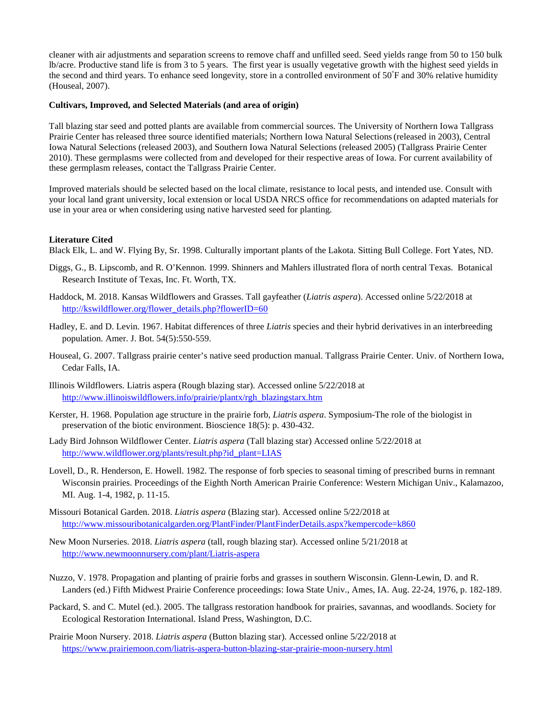cleaner with air adjustments and separation screens to remove chaff and unfilled seed. Seed yields range from 50 to 150 bulk lb/acre. Productive stand life is from 3 to 5 years. The first year is usually vegetative growth with the highest seed yields in the second and third years. To enhance seed longevity, store in a controlled environment of 50° F and 30% relative humidity (Houseal, 2007).

# **Cultivars, Improved, and Selected Materials (and area of origin)**

Tall blazing star seed and potted plants are available from commercial sources. The University of Northern Iowa Tallgrass Prairie Center has released three source identified materials; Northern Iowa Natural Selections(released in 2003), Central Iowa Natural Selections (released 2003), and Southern Iowa Natural Selections (released 2005) (Tallgrass Prairie Center 2010). These germplasms were collected from and developed for their respective areas of Iowa. For current availability of these germplasm releases, contact the Tallgrass Prairie Center.

Improved materials should be selected based on the local climate, resistance to local pests, and intended use. Consult with your local land grant university, local extension or local USDA NRCS office for recommendations on adapted materials for use in your area or when considering using native harvested seed for planting.

# **Literature Cited**

Black Elk, L. and W. Flying By, Sr. 1998. Culturally important plants of the Lakota. Sitting Bull College. Fort Yates, ND.

- Diggs, G., B. Lipscomb, and R. O'Kennon. 1999. Shinners and Mahlers illustrated flora of north central Texas. Botanical Research Institute of Texas, Inc. Ft. Worth, TX.
- Haddock, M. 2018. Kansas Wildflowers and Grasses. Tall gayfeather (*Liatris aspera*). Accessed online 5/22/2018 at [http://kswildflower.org/flower\\_details.php?flowerID=60](http://kswildflower.org/flower_details.php?flowerID=60)
- Hadley, E. and D. Levin. 1967. Habitat differences of three *Liatris* species and their hybrid derivatives in an interbreeding population. Amer. J. Bot. 54(5):550-559.
- Houseal, G. 2007. Tallgrass prairie center's native seed production manual. Tallgrass Prairie Center. Univ. of Northern Iowa, Cedar Falls, IA.
- Illinois Wildflowers. Liatris aspera (Rough blazing star). Accessed online 5/22/2018 at [http://www.illinoiswildflowers.info/prairie/plantx/rgh\\_blazingstarx.htm](http://www.illinoiswildflowers.info/prairie/plantx/rgh_blazingstarx.htm)
- Kerster, H. 1968. Population age structure in the prairie forb, *Liatris aspera*. Symposium-The role of the biologist in preservation of the biotic environment. Bioscience 18(5): p. 430-432.
- Lady Bird Johnson Wildflower Center. *Liatris aspera* (Tall blazing star) Accessed online 5/22/2018 at [http://www.wildflower.org/plants/result.php?id\\_plant=LIAS](http://www.wildflower.org/plants/result.php?id_plant=LIAS)
- Lovell, D., R. Henderson, E. Howell. 1982. The response of forb species to seasonal timing of prescribed burns in remnant Wisconsin prairies. Proceedings of the Eighth North American Prairie Conference: Western Michigan Univ., Kalamazoo, MI. Aug. 1-4, 1982, p. 11-15.
- Missouri Botanical Garden. 2018. *Liatris aspera* (Blazing star). Accessed online 5/22/2018 at <http://www.missouribotanicalgarden.org/PlantFinder/PlantFinderDetails.aspx?kempercode=k860>
- New Moon Nurseries. 2018. *Liatris aspera* (tall, rough blazing star). Accessed online 5/21/2018 at <http://www.newmoonnursery.com/plant/Liatris-aspera>
- Nuzzo, V. 1978. Propagation and planting of prairie forbs and grasses in southern Wisconsin. Glenn-Lewin, D. and R. Landers (ed.) Fifth Midwest Prairie Conference proceedings: Iowa State Univ., Ames, IA. Aug. 22-24, 1976, p. 182-189.
- Packard, S. and C. Mutel (ed.). 2005. The tallgrass restoration handbook for prairies, savannas, and woodlands. Society for Ecological Restoration International. Island Press, Washington, D.C.
- Prairie Moon Nursery. 2018. *Liatris aspera* (Button blazing star). Accessed online 5/22/2018 at <https://www.prairiemoon.com/liatris-aspera-button-blazing-star-prairie-moon-nursery.html>